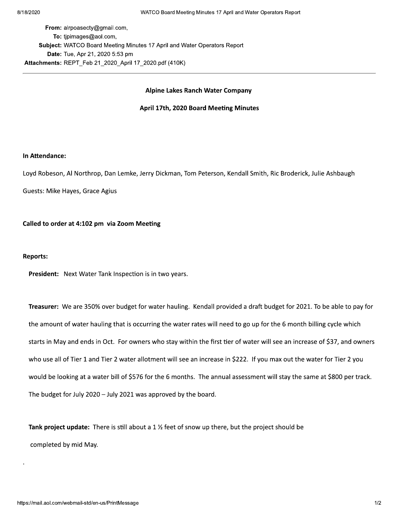From: alrpoasecty@gmail.com, To: tipimages@aol.com, Subject: WATCO Board Meeting Minutes 17 April and Water Operators Report Date: Tue, Apr 21, 2020 5:53 pm Attachments: REPT Feb 21 2020 April 17 2020.pdf (410K)

#### **Alpine Lakes Ranch Water Company**

#### April 17th, 2020 Board Meeting Minutes

#### In Attendance:

Loyd Robeson, Al Northrop, Dan Lemke, Jerry Dickman, Tom Peterson, Kendall Smith, Ric Broderick, Julie Ashbaugh

Guests: Mike Hayes, Grace Agius

Called to order at 4:102 pm via Zoom Meeting

#### **Reports:**

President: Next Water Tank Inspection is in two years.

Treasurer: We are 350% over budget for water hauling. Kendall provided a draft budget for 2021. To be able to pay for the amount of water hauling that is occurring the water rates will need to go up for the 6 month billing cycle which starts in May and ends in Oct. For owners who stay within the first tier of water will see an increase of \$37, and owners who use all of Tier 1 and Tier 2 water allotment will see an increase in \$222. If you max out the water for Tier 2 you would be looking at a water bill of \$576 for the 6 months. The annual assessment will stay the same at \$800 per track. The budget for July 2020 - July 2021 was approved by the board.

Tank project update: There is still about a  $1\frac{1}{2}$  feet of snow up there, but the project should be completed by mid May.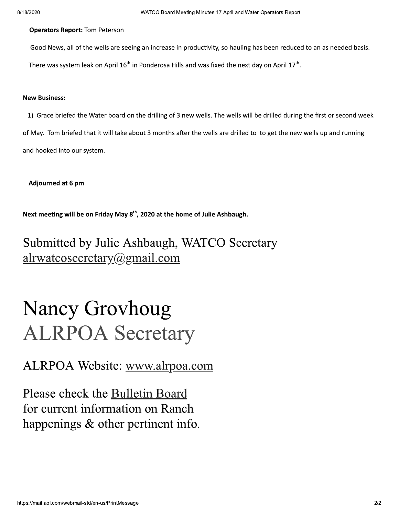8/18/2020<br> **Operators Report:** Tom Peterson<br>
Good News, all of the wells are seeing<br>
There was system leak on April 16<sup>th</sup> in<br> **New Business:** Good News, all of the wells are seeing an increase in productivity, so hauling has been reduced to an as needed basis. There was system leak on April  $16<sup>th</sup>$  in Ponderosa Hills and was fixed the next day on April  $17<sup>th</sup>$ .

#### **New Business:**

1) Grace briefed the Water board on the drilling of 3 new wells. The wells will be drilled during the first or second week of May. Tom briefed that it will take about 3 months after the wells are drilled to to get the new wells up and running and hooked into our system. 1) Grace briefed the Water board on the<br>of May. Tom briefed that it will take about<br>and hooked into our system.<br>Adjourned at 6 pm<br>Next meeting will be on Friday May 8<sup>th</sup>, 20<br>Submitted by Julie Ashl

Next meeting will be on Friday May  $8<sup>th</sup>$ , 2020 at the home of Julie Ashbaugh.

## Submitted by Julie Ashbaugh, WATCO Secretary alrwatcosecretary@gmail.com

# Nancy Grovhoug ALRPOA Secretary

ALRPOA Website: www.alrpoa.com

Please check the **Bulletin Board** for current information on Ranch happenings  $\&$  other pertinent info.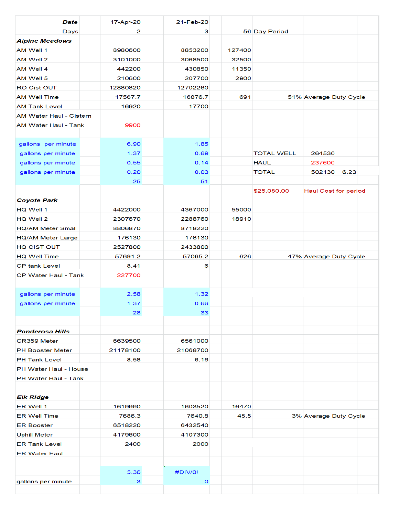| <b>Date</b>                    | 17-Apr-20    | 21-Feb-20    |        |                   |                             |      |
|--------------------------------|--------------|--------------|--------|-------------------|-----------------------------|------|
| Days                           | 2            | з            |        | 56 Day Period     |                             |      |
| <b>Alpine Meadows</b>          |              |              |        |                   |                             |      |
| AM Well 1                      | 8980600      | 8853200      | 127400 |                   |                             |      |
| AM Well 2                      | 3101000      | 3068500      | 32500  |                   |                             |      |
| AM Well 4                      | 442200       | 430850       | 11350  |                   |                             |      |
| AM Well 5                      | 210600       | 207700       | 2900   |                   |                             |      |
| RO Cist OUT                    | 12880820     | 12702260     |        |                   |                             |      |
| <b>AM Well Time</b>            | 17567.7      | 16876.7      | 691    |                   | 51% Average Duty Cycle      |      |
| <b>AM Tank Level</b>           | 16920        | 17700        |        |                   |                             |      |
| <b>AM Water Haul - Cistern</b> |              |              |        |                   |                             |      |
| <b>AM Water Haul - Tank</b>    | 9900         |              |        |                   |                             |      |
|                                |              |              |        |                   |                             |      |
| gallons per minute             | 6.90         | 1.85         |        |                   |                             |      |
| gallons per minute             | 1.37         | 0.69         |        | <b>TOTAL WELL</b> | 264530                      |      |
| gallons per minute             | 0.55         | 0.14         |        | <b>HAUL</b>       | 237600                      |      |
| gallons per minute             | 0.20         | 0.03         |        | <b>TOTAL</b>      | 502130                      | 6.23 |
|                                | 25           | 51           |        |                   |                             |      |
|                                |              |              |        | \$25,080.00       | <b>Haul Cost for period</b> |      |
| <b>Coyote Park</b>             |              |              |        |                   |                             |      |
| HQ Well 1                      | 4422000      | 4367000      | 55000  |                   |                             |      |
| HQ Well 2                      | 2307670      | 2288760      | 18910  |                   |                             |      |
| <b>HQ/AM Meter Small</b>       | 8806870      | 8718220      |        |                   |                             |      |
| <b>HQ/AM Meter Large</b>       | 176130       | 176130       |        |                   |                             |      |
| <b>HQ CIST OUT</b>             | 2527800      | 2433800      |        |                   |                             |      |
| <b>HQ Well Time</b>            | 57691.2      | 57065.2      | 626    |                   | 47% Average Duty Cycle      |      |
| <b>CP tank Level</b>           | 8.41         | 6            |        |                   |                             |      |
| CP Water Haul - Tank           | 227700       |              |        |                   |                             |      |
|                                |              |              |        |                   |                             |      |
| gallons per minute             | 2.58<br>1.37 | 1.32<br>0.66 |        |                   |                             |      |
| gallons per minute             | 28           | 33           |        |                   |                             |      |
|                                |              |              |        |                   |                             |      |
| <b>Ponderosa Hills</b>         |              |              |        |                   |                             |      |
| CR359 Meter                    | 6639500      | 6561000      |        |                   |                             |      |
| <b>PH Booster Meter</b>        | 21178100     | 21068700     |        |                   |                             |      |
| <b>PH Tank Level</b>           | 8.58         | 6.16         |        |                   |                             |      |
| PH Water Haul - House          |              |              |        |                   |                             |      |
| <b>PH Water Haul - Tank</b>    |              |              |        |                   |                             |      |
|                                |              |              |        |                   |                             |      |
| <b>Elk Ridge</b>               |              |              |        |                   |                             |      |
| ER Well 1                      | 1619990      | 1603520      | 16470  |                   |                             |      |
| <b>ER Well Time</b>            | 7686.3       | 7640.8       | 45.5   |                   | 3% Average Duty Cycle       |      |
| <b>ER Booster</b>              | 6518220      | 6432540      |        |                   |                             |      |
| <b>Uphill Meter</b>            | 4179600      | 4107300      |        |                   |                             |      |
| <b>ER Tank Level</b>           | 2400         | 2000         |        |                   |                             |      |
| <b>ER Water Haul</b>           |              |              |        |                   |                             |      |
|                                |              |              |        |                   |                             |      |
|                                | 5.36         | #DIV/0!      |        |                   |                             |      |
| gallons per minute             | 3            | O            |        |                   |                             |      |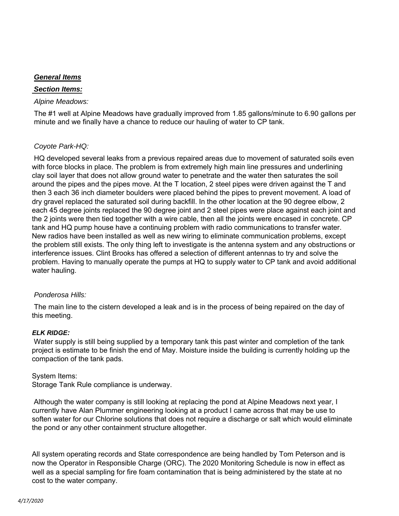#### *General Items*

#### *Section Items:*

#### *Alpine Meadows:*

The #1 well at Alpine Meadows have gradually improved from 1.85 gallons/minute to 6.90 gallons per minute and we finally have a chance to reduce our hauling of water to CP tank.

#### *Coyote Park-HQ:*

HQ developed several leaks from a previous repaired areas due to movement of saturated soils even with force blocks in place. The problem is from extremely high main line pressures and underlining clay soil layer that does not allow ground water to penetrate and the water then saturates the soil around the pipes and the pipes move. At the T location, 2 steel pipes were driven against the T and then 3 each 36 inch diameter boulders were placed behind the pipes to prevent movement. A load of dry gravel replaced the saturated soil during backfill. In the other location at the 90 degree elbow, 2 each 45 degree joints replaced the 90 degree joint and 2 steel pipes were place against each joint and the 2 joints were then tied together with a wire cable, then all the joints were encased in concrete. CP tank and HQ pump house have a continuing problem with radio communications to transfer water. New radios have been installed as well as new wiring to eliminate communication problems, except the problem still exists. The only thing left to investigate is the antenna system and any obstructions or interference issues. Clint Brooks has offered a selection of different antennas to try and solve the problem. Having to manually operate the pumps at HQ to supply water to CP tank and avoid additional water hauling.

#### *Ponderosa Hills:*

The main line to the cistern developed a leak and is in the process of being repaired on the day of this meeting.

#### *ELK RIDGE:*

Water supply is still being supplied by a temporary tank this past winter and completion of the tank project is estimate to be finish the end of May. Moisture inside the building is currently holding up the compaction of the tank pads.

#### System Items:

Storage Tank Rule compliance is underway.

Although the water company is still looking at replacing the pond at Alpine Meadows next year, I currently have Alan Plummer engineering looking at a product I came across that may be use to soften water for our Chlorine solutions that does not require a discharge or salt which would eliminate the pond or any other containment structure altogether.

All system operating records and State correspondence are being handled by Tom Peterson and is now the Operator in Responsible Charge (ORC). The 2020 Monitoring Schedule is now in effect as well as a special sampling for fire foam contamination that is being administered by the state at no cost to the water company.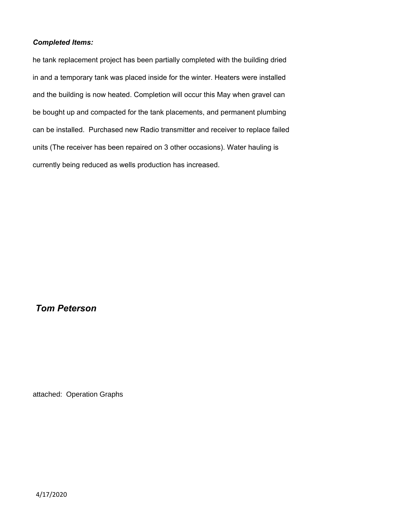#### *Completed Items:*

he tank replacement project has been partially completed with the building dried in and a temporary tank was placed inside for the winter. Heaters were installed and the building is now heated. Completion will occur this May when gravel can be bought up and compacted for the tank placements, and permanent plumbing can be installed. Purchased new Radio transmitter and receiver to replace failed units (The receiver has been repaired on 3 other occasions). Water hauling is currently being reduced as wells production has increased.

### *Tom Peterson*

attached: Operation Graphs